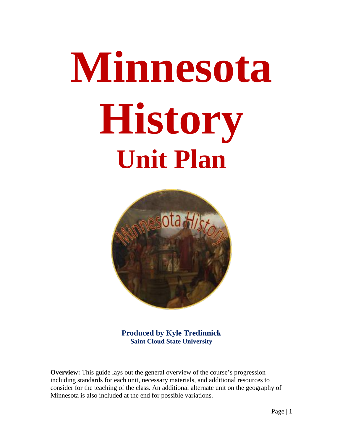# **Minnesota History Unit Plan**



**Produced by Kyle Tredinnick Saint Cloud State University**

**Overview:** This guide lays out the general overview of the course's progression including standards for each unit, necessary materials, and additional resources to consider for the teaching of the class. An additional alternate unit on the geography of Minnesota is also included at the end for possible variations.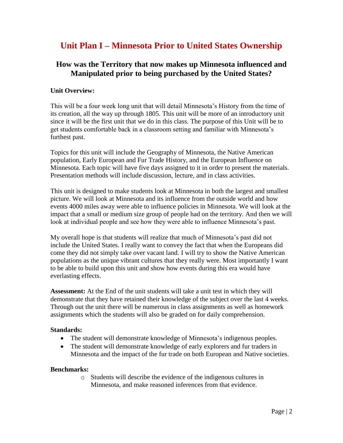# **Unit Plan I – Minnesota Prior to United States Ownership**

# **How was the Territory that now makes up Minnesota influenced and Manipulated prior to being purchased by the United States?**

# **Unit Overview:**

This will be a four week long unit that will detail Minnesota's History from the time of its creation, all the way up through 1805. This unit will be more of an introductory unit since it will be the first unit that we do in this class. The purpose of this Unit will be to get students comfortable back in a classroom setting and familiar with Minnesota's furthest past.

Topics for this unit will include the Geography of Minnesota, the Native American population, Early European and Fur Trade History, and the European Influence on Minnesota. Each topic will have five days assigned to it in order to present the materials. Presentation methods will include discussion, lecture, and in class activities.

This unit is designed to make students look at Minnesota in both the largest and smallest picture. We will look at Minnesota and its influence from the outside world and how events 4000 miles away were able to influence policies in Minnesota. We will look at the impact that a small or medium size group of people had on the territory. And then we will look at individual people and see how they were able to influence Minnesota's past.

My overall hope is that students will realize that much of Minnesota's past did not include the United States. I really want to convey the fact that when the Europeans did come they did not simply take over vacant land. I will try to show the Native American populations as the unique vibrant cultures that they really were. Most importantly I want to be able to build upon this unit and show how events during this era would have everlasting effects.

**Assessment:** At the End of the unit students will take a unit test in which they will demonstrate that they have retained their knowledge of the subject over the last 4 weeks. Through out the unit there will be numerous in class assignments as well as homework assignments which the students will also be graded on for daily comprehension.

# **Standards:**

- The student will demonstrate knowledge of Minnesota's indigenous peoples.
- The student will demonstrate knowledge of early explorers and fur traders in Minnesota and the impact of the fur trade on both European and Native societies.

# **Benchmarks:**

o Students will describe the evidence of the indigenous cultures in Minnesota, and make reasoned inferences from that evidence.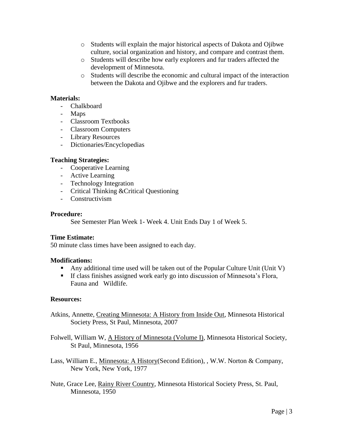- o Students will explain the major historical aspects of Dakota and Ojibwe culture, social organization and history, and compare and contrast them.
- o Students will describe how early explorers and fur traders affected the development of Minnesota.
- o Students will describe the economic and cultural impact of the interaction between the Dakota and Ojibwe and the explorers and fur traders.

# **Materials:**

- Chalkboard
- Maps
- Classroom Textbooks
- Classroom Computers
- Library Resources
- Dictionaries/Encyclopedias

# **Teaching Strategies:**

- Cooperative Learning
- Active Learning
- Technology Integration
- Critical Thinking &Critical Questioning
- Constructivism

#### **Procedure:**

See Semester Plan Week 1- Week 4. Unit Ends Day 1 of Week 5.

# **Time Estimate:**

50 minute class times have been assigned to each day.

# **Modifications:**

- **•** Any additional time used will be taken out of the Popular Culture Unit (Unit V)
- If class finishes assigned work early go into discussion of Minnesota's Flora, Fauna and Wildlife.

# **Resources:**

- Atkins, Annette, Creating Minnesota: A History from Inside Out, Minnesota Historical Society Press, St Paul, Minnesota, 2007
- Folwell, William W, A History of Minnesota (Volume I), Minnesota Historical Society, St Paul, Minnesota, 1956
- Lass, William E., Minnesota: A History(Second Edition), , W.W. Norton & Company, New York, New York, 1977
- Nute, Grace Lee, Rainy River Country, Minnesota Historical Society Press, St. Paul, Minnesota, 1950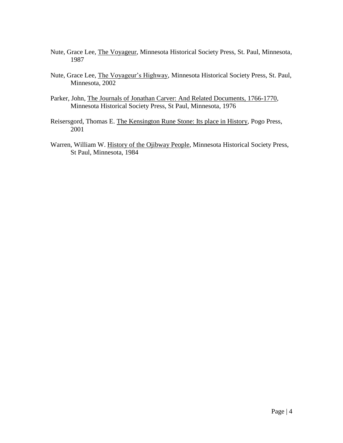- Nute, Grace Lee, The Voyageur, Minnesota Historical Society Press, St. Paul, Minnesota, 1987
- Nute, Grace Lee, The Voyageur's Highway, Minnesota Historical Society Press, St. Paul, Minnesota, 2002
- Parker, John, The Journals of Jonathan Carver: And Related Documents, 1766-1770, Minnesota Historical Society Press, St Paul, Minnesota, 1976
- Reisersgord, Thomas E. The Kensington Rune Stone: Its place in History, Pogo Press, 2001
- Warren, William W. History of the Ojibway People, Minnesota Historical Society Press, St Paul, Minnesota, 1984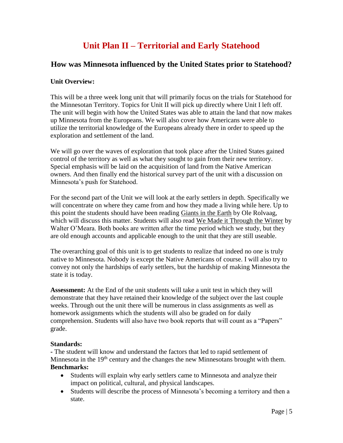# **Unit Plan II – Territorial and Early Statehood**

# **How was Minnesota influenced by the United States prior to Statehood?**

# **Unit Overview:**

This will be a three week long unit that will primarily focus on the trials for Statehood for the Minnesotan Territory. Topics for Unit II will pick up directly where Unit I left off. The unit will begin with how the United States was able to attain the land that now makes up Minnesota from the Europeans. We will also cover how Americans were able to utilize the territorial knowledge of the Europeans already there in order to speed up the exploration and settlement of the land.

We will go over the waves of exploration that took place after the United States gained control of the territory as well as what they sought to gain from their new territory. Special emphasis will be laid on the acquisition of land from the Native American owners. And then finally end the historical survey part of the unit with a discussion on Minnesota's push for Statehood.

For the second part of the Unit we will look at the early settlers in depth. Specifically we will concentrate on where they came from and how they made a living while here. Up to this point the students should have been reading Giants in the Earth by Ole Rolvaag, which will discuss this matter. Students will also read We Made it Through the Winter by Walter O'Meara. Both books are written after the time period which we study, but they are old enough accounts and applicable enough to the unit that they are still useable.

The overarching goal of this unit is to get students to realize that indeed no one is truly native to Minnesota. Nobody is except the Native Americans of course. I will also try to convey not only the hardships of early settlers, but the hardship of making Minnesota the state it is today.

**Assessment:** At the End of the unit students will take a unit test in which they will demonstrate that they have retained their knowledge of the subject over the last couple weeks. Through out the unit there will be numerous in class assignments as well as homework assignments which the students will also be graded on for daily comprehension. Students will also have two book reports that will count as a "Papers" grade.

# **Standards:**

**-** The student will know and understand the factors that led to rapid settlement of Minnesota in the  $19<sup>th</sup>$  century and the changes the new Minnesotans brought with them. **Benchmarks:**

- Students will explain why early settlers came to Minnesota and analyze their impact on political, cultural, and physical landscapes.
- Students will describe the process of Minnesota's becoming a territory and then a state.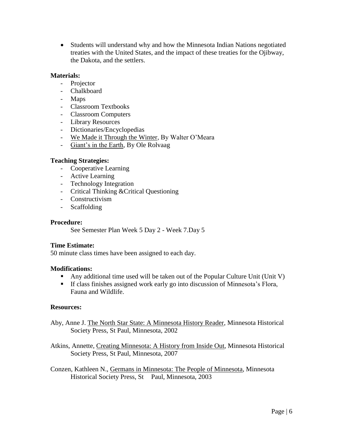• Students will understand why and how the Minnesota Indian Nations negotiated treaties with the United States, and the impact of these treaties for the Ojibway, the Dakota, and the settlers.

# **Materials:**

- Projector
- Chalkboard
- Maps
- Classroom Textbooks
- Classroom Computers
- Library Resources
- Dictionaries/Encyclopedias
- We Made it Through the Winter, By Walter O'Meara
- Giant's in the Earth, By Ole Rolvaag

# **Teaching Strategies:**

- Cooperative Learning
- Active Learning
- Technology Integration
- Critical Thinking &Critical Questioning
- Constructivism
- Scaffolding

## **Procedure:**

See Semester Plan Week 5 Day 2 - Week 7.Day 5

# **Time Estimate:**

50 minute class times have been assigned to each day.

# **Modifications:**

- Any additional time used will be taken out of the Popular Culture Unit (Unit V)
- If class finishes assigned work early go into discussion of Minnesota's Flora, Fauna and Wildlife.

# **Resources:**

- Aby, Anne J. The North Star State: A Minnesota History Reader, Minnesota Historical Society Press, St Paul, Minnesota, 2002
- Atkins, Annette, Creating Minnesota: A History from Inside Out, Minnesota Historical Society Press, St Paul, Minnesota, 2007

Conzen, Kathleen N., Germans in Minnesota: The People of Minnesota, Minnesota Historical Society Press, St Paul, Minnesota, 2003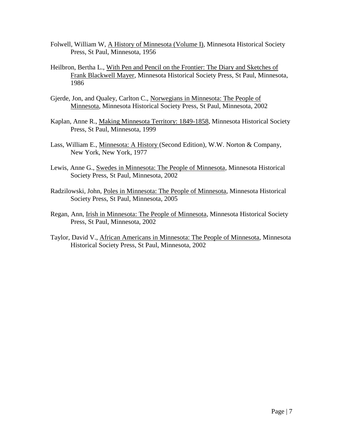- Folwell, William W, A History of Minnesota (Volume I), Minnesota Historical Society Press, St Paul, Minnesota, 1956
- Heilbron, Bertha L., With Pen and Pencil on the Frontier: The Diary and Sketches of Frank Blackwell Mayer, Minnesota Historical Society Press, St Paul, Minnesota, 1986
- Gjerde, Jon, and Qualey, Carlton C., Norwegians in Minnesota: The People of Minnesota, Minnesota Historical Society Press, St Paul, Minnesota, 2002
- Kaplan, Anne R., Making Minnesota Territory: 1849-1858, Minnesota Historical Society Press, St Paul, Minnesota, 1999
- Lass, William E., Minnesota: A History (Second Edition), W.W. Norton & Company, New York, New York, 1977
- Lewis, Anne G., Swedes in Minnesota: The People of Minnesota, Minnesota Historical Society Press, St Paul, Minnesota, 2002
- Radzilowski, John, Poles in Minnesota: The People of Minnesota, Minnesota Historical Society Press, St Paul, Minnesota, 2005
- Regan, Ann, Irish in Minnesota: The People of Minnesota, Minnesota Historical Society Press, St Paul, Minnesota, 2002
- Taylor, David V., African Americans in Minnesota: The People of Minnesota, Minnesota Historical Society Press, St Paul, Minnesota, 2002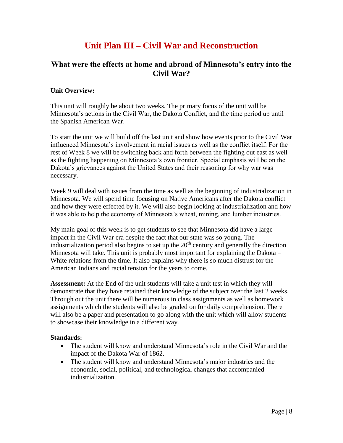# **Unit Plan III – Civil War and Reconstruction**

# **What were the effects at home and abroad of Minnesota's entry into the Civil War?**

# **Unit Overview:**

This unit will roughly be about two weeks. The primary focus of the unit will be Minnesota's actions in the Civil War, the Dakota Conflict, and the time period up until the Spanish American War.

To start the unit we will build off the last unit and show how events prior to the Civil War influenced Minnesota's involvement in racial issues as well as the conflict itself. For the rest of Week 8 we will be switching back and forth between the fighting out east as well as the fighting happening on Minnesota's own frontier. Special emphasis will be on the Dakota's grievances against the United States and their reasoning for why war was necessary.

Week 9 will deal with issues from the time as well as the beginning of industrialization in Minnesota. We will spend time focusing on Native Americans after the Dakota conflict and how they were effected by it. We will also begin looking at industrialization and how it was able to help the economy of Minnesota's wheat, mining, and lumber industries.

My main goal of this week is to get students to see that Minnesota did have a large impact in the Civil War era despite the fact that our state was so young. The industrialization period also begins to set up the  $20<sup>th</sup>$  century and generally the direction Minnesota will take. This unit is probably most important for explaining the Dakota – White relations from the time. It also explains why there is so much distrust for the American Indians and racial tension for the years to come.

**Assessment:** At the End of the unit students will take a unit test in which they will demonstrate that they have retained their knowledge of the subject over the last 2 weeks. Through out the unit there will be numerous in class assignments as well as homework assignments which the students will also be graded on for daily comprehension. There will also be a paper and presentation to go along with the unit which will allow students to showcase their knowledge in a different way.

# **Standards:**

- The student will know and understand Minnesota's role in the Civil War and the impact of the Dakota War of 1862.
- The student will know and understand Minnesota's major industries and the economic, social, political, and technological changes that accompanied industrialization.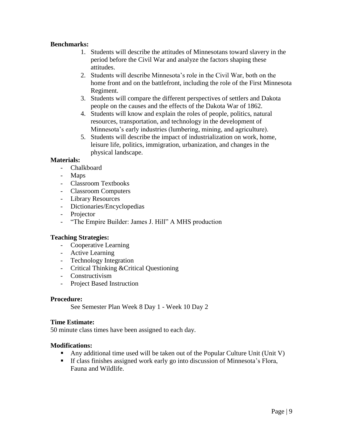# **Benchmarks:**

- 1. Students will describe the attitudes of Minnesotans toward slavery in the period before the Civil War and analyze the factors shaping these attitudes.
- 2. Students will describe Minnesota's role in the Civil War, both on the home front and on the battlefront, including the role of the First Minnesota Regiment.
- 3. Students will compare the different perspectives of settlers and Dakota people on the causes and the effects of the Dakota War of 1862.
- 4. Students will know and explain the roles of people, politics, natural resources, transportation, and technology in the development of Minnesota's early industries (lumbering, mining, and agriculture).
- 5. Students will describe the impact of industrialization on work, home, leisure life, politics, immigration, urbanization, and changes in the physical landscape.

# **Materials:**

- Chalkboard
- Maps
- Classroom Textbooks
- Classroom Computers
- Library Resources
- Dictionaries/Encyclopedias
- Projector
- "The Empire Builder: James J. Hill" A MHS production

# **Teaching Strategies:**

- Cooperative Learning
- Active Learning
- Technology Integration
- Critical Thinking &Critical Questioning
- Constructivism
- Project Based Instruction

# **Procedure:**

See Semester Plan Week 8 Day 1 - Week 10 Day 2

# **Time Estimate:**

50 minute class times have been assigned to each day.

# **Modifications:**

- **•** Any additional time used will be taken out of the Popular Culture Unit (Unit V)
- If class finishes assigned work early go into discussion of Minnesota's Flora, Fauna and Wildlife.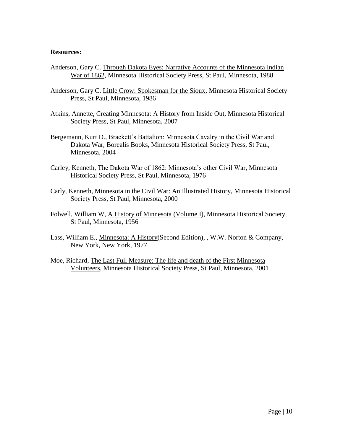#### **Resources:**

- Anderson, Gary C. Through Dakota Eyes: Narrative Accounts of the Minnesota Indian War of 1862, Minnesota Historical Society Press, St Paul, Minnesota, 1988
- Anderson, Gary C. Little Crow: Spokesman for the Sioux, Minnesota Historical Society Press, St Paul, Minnesota, 1986
- Atkins, Annette, Creating Minnesota: A History from Inside Out, Minnesota Historical Society Press, St Paul, Minnesota, 2007
- Bergemann, Kurt D., Brackett's Battalion: Minnesota Cavalry in the Civil War and Dakota War, Borealis Books, Minnesota Historical Society Press, St Paul, Minnesota, 2004
- Carley, Kenneth, The Dakota War of 1862: Minnesota's other Civil War, Minnesota Historical Society Press, St Paul, Minnesota, 1976
- Carly, Kenneth, Minnesota in the Civil War: An Illustrated History, Minnesota Historical Society Press, St Paul, Minnesota, 2000
- Folwell, William W, A History of Minnesota (Volume I), Minnesota Historical Society, St Paul, Minnesota, 1956
- Lass, William E., Minnesota: A History(Second Edition), , W.W. Norton & Company, New York, New York, 1977
- Moe, Richard, The Last Full Measure: The life and death of the First Minnesota Volunteers, Minnesota Historical Society Press, St Paul, Minnesota, 2001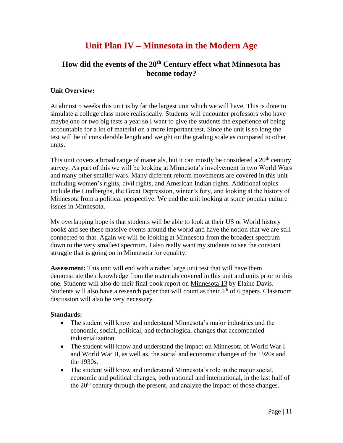# **Unit Plan IV – Minnesota in the Modern Age**

# **How did the events of the 20th Century effect what Minnesota has become today?**

# **Unit Overview:**

At almost 5 weeks this unit is by far the largest unit which we will have. This is done to simulate a college class more realistically. Students will encounter professors who have maybe one or two big tests a year so I want to give the students the experience of being accountable for a lot of material on a more important test. Since the unit is so long the test will be of considerable length and weight on the grading scale as compared to other units.

This unit covers a broad range of materials, but it can mostly be considered a  $20<sup>th</sup>$  century survey. As part of this we will be looking at Minnesota's involvement in two World Wars and many other smaller wars. Many different reform movements are covered in this unit including women's rights, civil rights, and American Indian rights. Additional topics include the Lindberghs, the Great Depression, winter's fury, and looking at the history of Minnesota from a political perspective. We end the unit looking at some popular culture issues in Minnesota.

My overlapping hope is that students will be able to look at their US or World history books and see these massive events around the world and have the notion that we are still connected to that. Again we will be looking at Minnesota from the broadest spectrum down to the very smallest spectrum. I also really want my students to see the constant struggle that is going on in Minnesota for equality.

**Assessment:** This unit will end with a rather large unit test that will have them demonstrate their knowledge from the materials covered in this unit and units prior to this one. Students will also do their final book report on Minnesota 13 by Elaine Davis. Students will also have a research paper that will count as their  $5<sup>th</sup>$  of 6 papers. Classroom discussion will also be very necessary.

# **Standards:**

- The student will know and understand Minnesota's major industries and the economic, social, political, and technological changes that accompanied industrialization.
- The student will know and understand the impact on Minnesota of World War I and World War II, as well as, the social and economic changes of the 1920s and the 1930s.
- The student will know and understand Minnesota's role in the major social, economic and political changes, both national and international, in the last half of the 20<sup>th</sup> century through the present, and analyze the impact of those changes.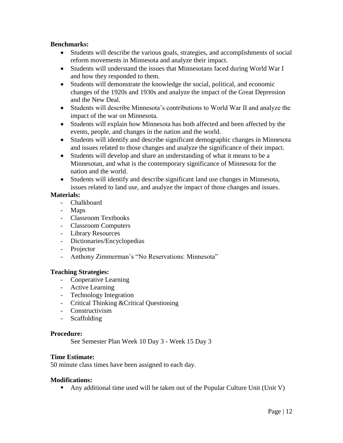# **Benchmarks:**

- Students will describe the various goals, strategies, and accomplishments of social reform movements in Minnesota and analyze their impact.
- Students will understand the issues that Minnesotans faced during World War I and how they responded to them.
- Students will demonstrate the knowledge the social, political, and economic changes of the 1920s and 1930s and analyze the impact of the Great Depression and the New Deal.
- Students will describe Minnesota's contributions to World War II and analyze the impact of the war on Minnesota.
- Students will explain how Minnesota has both affected and been affected by the events, people, and changes in the nation and the world.
- Students will identify and describe significant demographic changes in Minnesota and issues related to those changes and analyze the significance of their impact.
- Students will develop and share an understanding of what it means to be a Minnesotan, and what is the contemporary significance of Minnesota for the nation and the world.
- Students will identify and describe significant land use changes in Minnesota, issues related to land use, and analyze the impact of those changes and issues.

# **Materials:**

- Chalkboard
- Maps
- Classroom Textbooks
- Classroom Computers
- Library Resources
- Dictionaries/Encyclopedias
- Projector
- Anthony Zimmerman's "No Reservations: Minnesota"

# **Teaching Strategies:**

- Cooperative Learning
- Active Learning
- Technology Integration
- Critical Thinking &Critical Questioning
- Constructivism
- Scaffolding

# **Procedure:**

See Semester Plan Week 10 Day 3 - Week 15 Day 3

# **Time Estimate:**

50 minute class times have been assigned to each day.

# **Modifications:**

**•** Any additional time used will be taken out of the Popular Culture Unit (Unit V)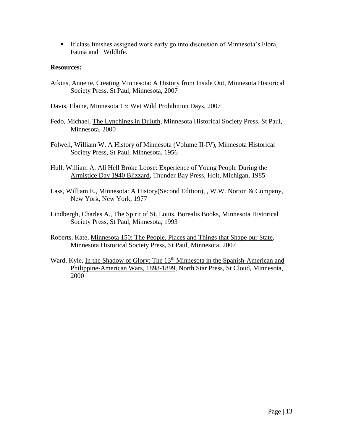▪ If class finishes assigned work early go into discussion of Minnesota's Flora, Fauna and Wildlife.

# **Resources:**

Atkins, Annette, Creating Minnesota: A History from Inside Out, Minnesota Historical Society Press, St Paul, Minnesota, 2007

Davis, Elaine, Minnesota 13: Wet Wild Prohibition Days, 2007

- Fedo, Michael, The Lynchings in Duluth, Minnesota Historical Society Press, St Paul, Minnesota, 2000
- Folwell, William W, A History of Minnesota (Volume II-IV), Minnesota Historical Society Press, St Paul, Minnesota, 1956
- Hull, William A. All Hell Broke Loose: Experience of Young People During the Armistice Day 1940 Blizzard, Thunder Bay Press, Holt, Michigan, 1985
- Lass, William E., Minnesota: A History(Second Edition), , W.W. Norton & Company, New York, New York, 1977
- Lindbergh, Charles A., The Spirit of St. Louis, Borealis Books, Minnesota Historical Society Press, St Paul, Minnesota, 1993
- Roberts, Kate, Minnesota 150: The People, Places and Things that Shape our State, Minnesota Historical Society Press, St Paul, Minnesota, 2007
- Ward, Kyle, In the Shadow of Glory: The 13<sup>th</sup> Minnesota in the Spanish-American and Philippine-American Wars, 1898-1899, North Star Press, St Cloud, Minnesota, 2000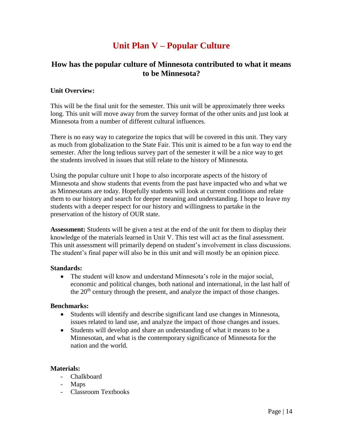# **Unit Plan V – Popular Culture**

# **How has the popular culture of Minnesota contributed to what it means to be Minnesota?**

# **Unit Overview:**

This will be the final unit for the semester. This unit will be approximately three weeks long. This unit will move away from the survey format of the other units and just look at Minnesota from a number of different cultural influences.

There is no easy way to categorize the topics that will be covered in this unit. They vary as much from globalization to the State Fair. This unit is aimed to be a fun way to end the semester. After the long tedious survey part of the semester it will be a nice way to get the students involved in issues that still relate to the history of Minnesota.

Using the popular culture unit I hope to also incorporate aspects of the history of Minnesota and show students that events from the past have impacted who and what we as Minnesotans are today. Hopefully students will look at current conditions and relate them to our history and search for deeper meaning and understanding. I hope to leave my students with a deeper respect for our history and willingness to partake in the preservation of the history of OUR state.

**Assessment:** Students will be given a test at the end of the unit for them to display their knowledge of the materials learned in Unit V. This test will act as the final assessment. This unit assessment will primarily depend on student's involvement in class discussions. The student's final paper will also be in this unit and will mostly be an opinion piece.

# **Standards:**

• The student will know and understand Minnesota's role in the major social, economic and political changes, both national and international, in the last half of the 20<sup>th</sup> century through the present, and analyze the impact of those changes.

# **Benchmarks:**

- Students will identify and describe significant land use changes in Minnesota, issues related to land use, and analyze the impact of those changes and issues.
- Students will develop and share an understanding of what it means to be a Minnesotan, and what is the contemporary significance of Minnesota for the nation and the world.

# **Materials:**

- Chalkboard
- Maps
- Classroom Textbooks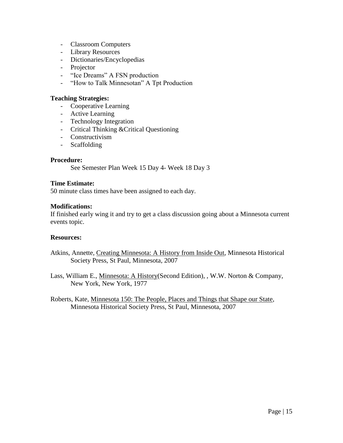- Classroom Computers
- Library Resources
- Dictionaries/Encyclopedias
- Projector
- "Ice Dreams" A FSN production
- "How to Talk Minnesotan" A Tpt Production

## **Teaching Strategies:**

- Cooperative Learning
- Active Learning
- Technology Integration
- Critical Thinking &Critical Questioning
- Constructivism
- Scaffolding

# **Procedure:**

See Semester Plan Week 15 Day 4- Week 18 Day 3

#### **Time Estimate:**

50 minute class times have been assigned to each day.

#### **Modifications:**

If finished early wing it and try to get a class discussion going about a Minnesota current events topic.

# **Resources:**

- Atkins, Annette, Creating Minnesota: A History from Inside Out, Minnesota Historical Society Press, St Paul, Minnesota, 2007
- Lass, William E., Minnesota: A History(Second Edition), , W.W. Norton & Company, New York, New York, 1977

Roberts, Kate, Minnesota 150: The People, Places and Things that Shape our State, Minnesota Historical Society Press, St Paul, Minnesota, 2007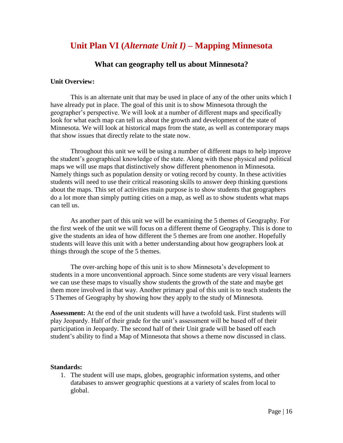# **Unit Plan VI (***Alternate Unit I)* **– Mapping Minnesota**

# **What can geography tell us about Minnesota?**

# **Unit Overview:**

This is an alternate unit that may be used in place of any of the other units which I have already put in place. The goal of this unit is to show Minnesota through the geographer's perspective. We will look at a number of different maps and specifically look for what each map can tell us about the growth and development of the state of Minnesota. We will look at historical maps from the state, as well as contemporary maps that show issues that directly relate to the state now.

Throughout this unit we will be using a number of different maps to help improve the student's geographical knowledge of the state. Along with these physical and political maps we will use maps that distinctively show different phenomenon in Minnesota. Namely things such as population density or voting record by county. In these activities students will need to use their critical reasoning skills to answer deep thinking questions about the maps. This set of activities main purpose is to show students that geographers do a lot more than simply putting cities on a map, as well as to show students what maps can tell us.

As another part of this unit we will be examining the 5 themes of Geography. For the first week of the unit we will focus on a different theme of Geography. This is done to give the students an idea of how different the 5 themes are from one another. Hopefully students will leave this unit with a better understanding about how geographers look at things through the scope of the 5 themes.

The over-arching hope of this unit is to show Minnesota's development to students in a more unconventional approach. Since some students are very visual learners we can use these maps to visually show students the growth of the state and maybe get them more involved in that way. Another primary goal of this unit is to teach students the 5 Themes of Geography by showing how they apply to the study of Minnesota.

**Assessment:** At the end of the unit students will have a twofold task. First students will play Jeopardy. Half of their grade for the unit's assessment will be based off of their participation in Jeopardy. The second half of their Unit grade will be based off each student's ability to find a Map of Minnesota that shows a theme now discussed in class.

#### **Standards:**

1. The student will use maps, globes, geographic information systems, and other databases to answer geographic questions at a variety of scales from local to global.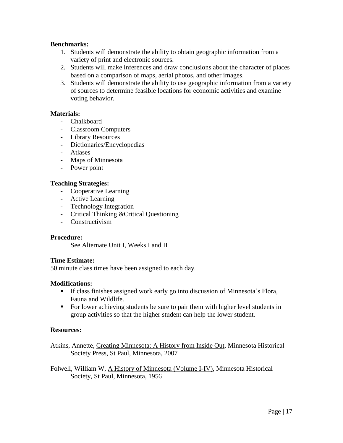# **Benchmarks:**

- 1. Students will demonstrate the ability to obtain geographic information from a variety of print and electronic sources.
- 2. Students will make inferences and draw conclusions about the character of places based on a comparison of maps, aerial photos, and other images.
- 3. Students will demonstrate the ability to use geographic information from a variety of sources to determine feasible locations for economic activities and examine voting behavior.

# **Materials:**

- Chalkboard
- Classroom Computers
- Library Resources
- Dictionaries/Encyclopedias
- Atlases
- Maps of Minnesota
- Power point

# **Teaching Strategies:**

- Cooperative Learning
- Active Learning
- Technology Integration
- Critical Thinking &Critical Questioning
- Constructivism

# **Procedure:**

See Alternate Unit I, Weeks I and II

# **Time Estimate:**

50 minute class times have been assigned to each day.

# **Modifications:**

- If class finishes assigned work early go into discussion of Minnesota's Flora, Fauna and Wildlife.
- For lower achieving students be sure to pair them with higher level students in group activities so that the higher student can help the lower student.

# **Resources:**

Atkins, Annette, Creating Minnesota: A History from Inside Out, Minnesota Historical Society Press, St Paul, Minnesota, 2007

Folwell, William W, A History of Minnesota (Volume I-IV), Minnesota Historical Society, St Paul, Minnesota, 1956